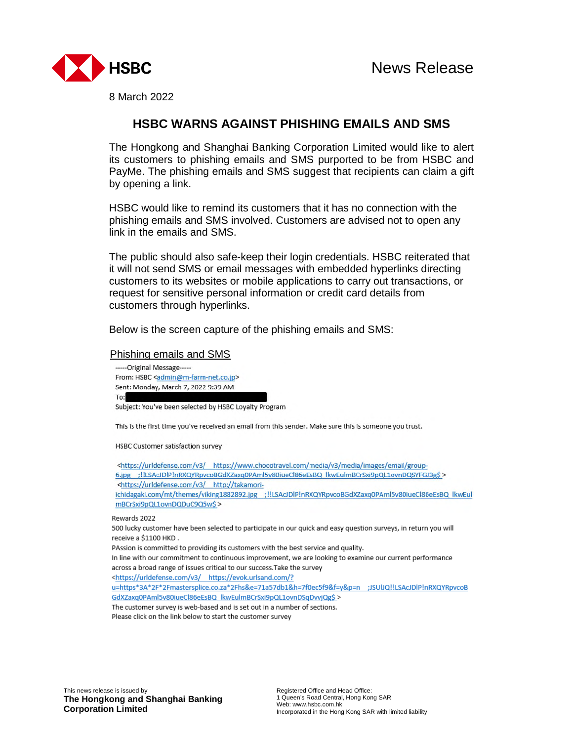

8 March 2022

## **HSBC WARNS AGAINST PHISHING EMAILS AND SMS**

The Hongkong and Shanghai Banking Corporation Limited would like to alert its customers to phishing emails and SMS purported to be from HSBC and PayMe. The phishing emails and SMS suggest that recipients can claim a gift by opening a link.

HSBC would like to remind its customers that it has no connection with the phishing emails and SMS involved. Customers are advised not to open any link in the emails and SMS.

The public should also safe-keep their login credentials. HSBC reiterated that it will not send SMS or email messages with embedded hyperlinks directing customers to its websites or mobile applications to carry out transactions, or request for sensitive personal information or credit card details from customers through hyperlinks.

Below is the screen capture of the phishing emails and SMS:

## Phishing emails and SMS

----- Original Message-----From: HSBC <admin@m-farm-net.co.jp> Sent: Monday, March 7, 2022 9:39 AM To:

Subject: You've been selected by HSBC Loyalty Program

This is the first time you've received an email from this sender. Make sure this is someone you trust.

HSBC Customer satisfaction survey

<https://urldefense.com/v3/ https://www.chocotravel.com/media/v3/media/images/email/group-6.jpg ;!!LSAcJDlP!nRXQYRpvcoBGdXZaxq0PAml5v80iueCl86eEsBQ\_lkwEulmBCrSxi9pQL1ovnDQSYFGJ3g\$ > <https://urldefense.com/v3/ http://takamoriichidagaki.com/mt/themes/viking1882892.jpg ;!!LSAcJDIP!nRXQYRpvcoBGdXZaxq0PAml5v80iueCl86eEsBQ lkwEul mBCrSxi9pQL1ovnDQDuC9Q5w\$ >

Rewards 2022

500 lucky customer have been selected to participate in our quick and easy question surveys, in return you will receive a \$1100 HKD.

PAssion is committed to providing its customers with the best service and quality.

In line with our commitment to continuous improvement, we are looking to examine our current performance across a broad range of issues critical to our success. Take the survey

<https://urldefense.com/v3/ https://evok.urlsand.com/?

u=https\*3A\*2F\*2Fmastersplice.co.za\*2Fhs&e=71a57db1&h=7f0ec5f9&f=y&p=n ;JSUlJQ!!LSAcJDlP!nRXQYRpvcoB GdXZaxq0PAml5v80iueCl86eEsBQ\_lkwEulmBCrSxi9pQL1ovnDSqDvvjQg\$ >

The customer survey is web-based and is set out in a number of sections.

Please click on the link below to start the customer survey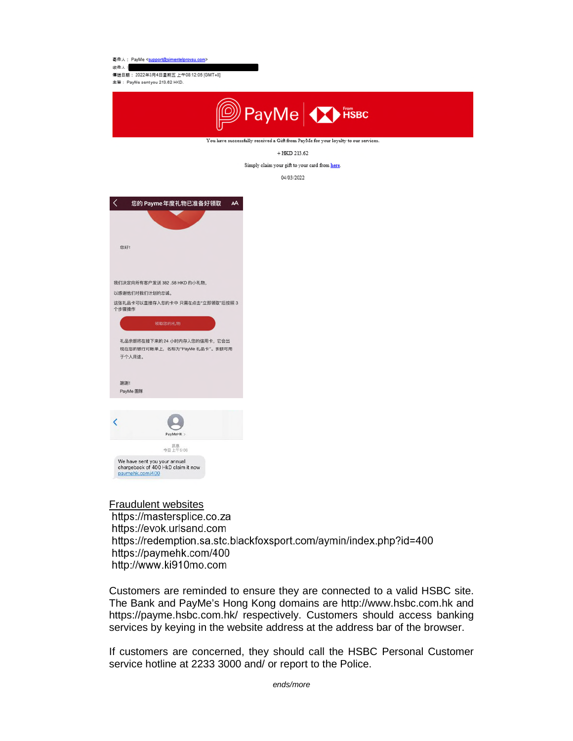喜件人: PayMe <support@simentelprovsu.co

收件人: 傳送日期: 2022年3月4日星期五 上午08:12:05 [GMT+8] 主旨: PayMe sent you 213.62 HKD.



 $+$  HKD 213.62

Simply claim your gift to your card from here.

04/03/2022



Fraudulent websites https://mastersplice.co.za https://evok.urlsand.com https://redemption.sa.stc.blackfoxsport.com/aymin/index.php?id=400 https://paymehk.com/400 http://www.ki910mo.com

Customers are reminded to ensure they are connected to a valid HSBC site. The Bank and PayMe's Hong Kong domains are http://www.hsbc.com.hk and https://payme.hsbc.com.hk/ respectively. Customers should access banking services by keying in the website address at the address bar of the browser.

If customers are concerned, they should call the HSBC Personal Customer service hotline at 2233 3000 and/ or report to the Police.